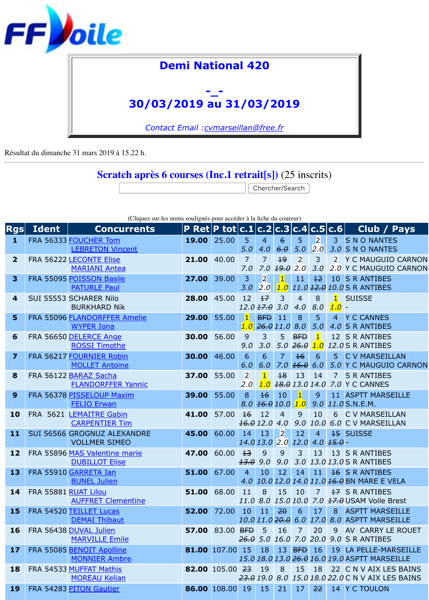

Résultat du dimanche 31 mars 2019 à 15.22 h.

## **Scratch après 6 courses (Inc.1 retrait[s])** (25 inscrits)

Chercher/Search

|                         |                      | (Chque sur no homo sourignes pour acceder a la hene du coureur) |                                            |                 |                       |                                                    |                            |                       |                |                                  |                        |
|-------------------------|----------------------|-----------------------------------------------------------------|--------------------------------------------|-----------------|-----------------------|----------------------------------------------------|----------------------------|-----------------------|----------------|----------------------------------|------------------------|
| Rgs                     | <b>Ident</b>         | <b>Concurrents</b>                                              | <b>P Ret P tot c.1 c.2 c.3 c.4 c.5 c.6</b> |                 |                       |                                                    |                            |                       |                |                                  |                        |
| $\mathbf{1}$            |                      | FRA 56333 FOUCHER Tom                                           | 19.00                                      | 25.00           | 5 <sup>5</sup>        | $\overline{4}$                                     | $6\overline{6}$            | 5                     | $\overline{2}$ | $\overline{3}$                   | <b>SN</b>              |
|                         |                      | <b>LEBRETON Vincent</b>                                         |                                            |                 | 5.0                   | 4.0                                                | 6.0                        | 5.0                   | 2.0            | $3.0$ S N                        |                        |
| $\overline{2}$          |                      | FRA 56222 LECONTE Elise<br><b>MARIANI Antea</b>                 | 21.00                                      | 40.00           | 7<br>7.0              | $\overline{7}$                                     | $+9$<br>$7.0$ $19.0$ $2.0$ | $\overline{2}$        | 3<br>3.0       | $\overline{2}$<br>2.0            | Y C<br>Y C             |
| $\overline{\mathbf{3}}$ |                      | FRA 55095 POISSON Basile<br><b>PATURLE Paul</b>                 | 27.00                                      | 39.00           | 3<br>3.0              | $\overline{2}$<br>2.0                              | $\vert$ 1 $\vert$<br>1.0   | 11                    | $+2$           | 10<br>$11.0$ $12.0$ $10.0$ S R   | <b>SR</b>              |
| 4                       |                      | SUI 55553 SCHARER Nilo<br><b>BURKHARD Nik</b>                   | 28.00                                      | 45.00           | 12                    | $+7$<br>$12.0$ $17.0$ $3.0$                        | 3                          | $\overline{4}$<br>4.0 | 8<br>8.0       | $\mathbf{1}$<br>1.0              | <b>SUI:</b>            |
| 5                       |                      | FRA 55096 FLANDORFFER Amelie<br><b>WYPER Iona</b>               | 29.00                                      | 55.00           | $\mathbf{1}$<br>1.0   | <b>BFD</b><br>76.011.08.0                          | $\overline{11}$            | 8                     | 5<br>5.0       | $\overline{4}$<br>$4.0$ S R      | <b>YC</b>              |
| 6                       |                      | FRA 56650 DELERCE Ange<br><b>ROSSI Timothe</b>                  | 30.00                                      | 56.00           | 9<br>9.0              | 3<br>3.0                                           | 5 <sup>1</sup><br>5.0      | <b>BFD</b><br>26.0    | 1.0            | 12 <sup>7</sup><br>12.0 S R      | <b>SR</b>              |
| $\overline{\mathbf{z}}$ |                      | FRA 56217 FOURNIER Robin<br><b>MOLLET Antoine</b>               | 30.00                                      | 46.00           | 6<br>6.0              | 6<br>6.0                                           | $\overline{7}$             | 16<br>$7.0 \; 16.0$   | 6<br>6.0       | 5 <sup>1</sup><br>5.0 Y C        | <b>CV</b>              |
| 8                       |                      | FRA 56122 BARAZ Sacha<br><b>FLANDORFFER Yannic</b>              | 37.00                                      | 55.00           | $\overline{2}$<br>2.0 | $\vert$ 1 $\vert$<br>1.0                           | 18                         | 13<br>18.013.014.07.0 | 14             | $\overline{7}$                   | <b>SR</b><br>Y C       |
| 9                       |                      | FRA 56378 PISSELOUP Maxim<br><b>FELIO Erwan</b>                 | 39.00                                      | 55.00           | 8 <sup>°</sup>        | 16<br>$8.0$ $16.0$ $10.0$                          | 10                         | $\mathbf{1}$<br>1.0   | 9              | 11 ASP<br>$9.0$ $11.0$ S.N.      |                        |
| 10                      |                      | FRA 5621 LEMAITRE Gabin<br><b>CARPENTIER Tim</b>                | 41.00                                      | 57.00           | $\overline{16}$       | 12<br>16.012.0                                     | $\overline{4}$<br>4.0      | 9<br>9.0              | 10<br>10.0     | 6<br>6.0                         | <b>CV</b><br><b>CV</b> |
| 11                      |                      | <b>SUI 56566 GROGNUZ ALEXANDRE</b><br><b>VOLLMER SIMEO</b>      | 45.00                                      | 60.00           | 14                    | 13<br>14.0 13.0 2.0 12.0                           | $\vert$ <sub>2</sub>       | 12                    | $\overline{4}$ | <b>15 SUI:</b><br>$4.0$ $15.0$ - |                        |
| 12                      |                      | FRA 55896 MAS Valentine marie<br><b>DUBILLOT Elise</b>          | 47.00                                      | 60.00           | $\pm$ 3<br>13.0       | 9<br>9.0                                           | 9<br>9.0                   | 3<br>3.0              | 13             | 13<br>13.0 13.0 S R              | <b>SR</b>              |
| 13                      |                      | FRA 55910 GARRETA Ian<br><b>BUNEL Julien</b>                    | 51.00                                      | 67.00           | $\overline{4}$        | 10<br>4.0 10.0 12.0 14.0 11.0 <del>16.0</del> BN   | 12                         | 14                    | 11             | $\frac{16}{16}$ SR               |                        |
| 14                      | FRA 55881 RUAT Lilou | <b>AUFFRET Clementine</b>                                       | 51.00                                      | 68.00           | 11                    | 8<br>11.0 8.0 15.0 10.0 7.0 <del>17.0</del> USA    | $15 \, 10$                 |                       | $\overline{7}$ | $\frac{17}{17}$ SR               |                        |
| <b>15</b>               |                      | FRA 54520 TEILLET Lucas<br><b>DEMAI Thibaut</b>                 | 52.00                                      | 72.00           | 10 <sup>1</sup>       | 11<br>10.0 11.0 <del>20.0</del> 6.0 17.0 8.0 ASP   | $-20$                      | 6                     | 17             | 8 <sup>°</sup>                   | <b>ASP</b>             |
| <b>16</b>               |                      | FRA 56438 DUVAL Julien<br><b>MARVILLE Emile</b>                 |                                            | 57.00 83.00 BFD |                       | $-5$<br>$26.0$ 5.0 16.0 7.0 20.0 9.0 SR            | 16                         | $\overline{7}$        | 20             | 9                                | <b>AV</b>              |
| 17                      |                      | FRA 55085 BENOIT Apolline<br><b>MONNIER Ambre</b>               | 81.00 107.00 15                            |                 |                       | 18<br>15.0 18.0 13.0 <del>26.0</del> 16.0 19.0 ASP |                            | $13$ BFD $16$         |                | $19$ LA F                        |                        |
| <b>18</b>               |                      | FRA 54533 MUFFAT Mathis<br><b>MOREAU Kelian</b>                 | <b>82.00</b> 105.00 23                     |                 |                       | 19<br>23.0 19.0 8.0 15.0 18.0 22.0 C N             | 8                          | 15                    | 18             | 22 C N                           |                        |
| <b>19</b>               |                      | FRA 54283 PITON Gautier                                         | 86.00 108.00 19                            |                 |                       | 15                                                 | 21                         | 17 <sup>1</sup>       | 22             | 14 Y C                           |                        |

(Cliquez sur les noms soulignés pour accéder à la fiche du coureur)